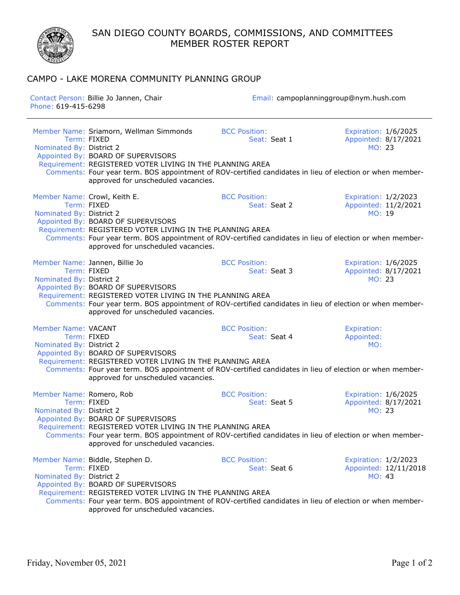SAN DIEGO COUNTY BOARDS, COMMISSIONS, AND COMMITTEES MEMBER ROSTER REPORT

## CAMPO - LAKE MORENA COMMUNITY PLANNING GROUP

| Contact Person: Billie Jo Jannen, Chair<br>Phone: 619-415-6298 |                                                                                                                                                                                                                                                                                                                                                | Email: campoplanninggroup@nym.hush.com |                                                         |
|----------------------------------------------------------------|------------------------------------------------------------------------------------------------------------------------------------------------------------------------------------------------------------------------------------------------------------------------------------------------------------------------------------------------|----------------------------------------|---------------------------------------------------------|
| Nominated By: District 2                                       | Member Name: Sriamorn, Wellman Simmonds<br>Term: FIXED<br>Appointed By: BOARD OF SUPERVISORS<br>Requirement: REGISTERED VOTER LIVING IN THE PLANNING AREA<br>Comments: Four year term. BOS appointment of ROV-certified candidates in lieu of election or when member-<br>approved for unscheduled vacancies.                                  | <b>BCC Position:</b><br>Seat: Seat 1   | Expiration: 1/6/2025<br>Appointed: 8/17/2021<br>MO: 23  |
| Nominated By: District 2                                       | Member Name: Crowl, Keith E.<br>Term: FIXED<br>Appointed By: BOARD OF SUPERVISORS<br>Requirement: REGISTERED VOTER LIVING IN THE PLANNING AREA<br>Comments: Four year term. BOS appointment of ROV-certified candidates in lieu of election or when member-<br>approved for unscheduled vacancies.                                             | <b>BCC Position:</b><br>Seat: Seat 2   | Expiration: 1/2/2023<br>Appointed: 11/2/2021<br>MO: 19  |
| Nominated By: District 2                                       | Member Name: Jannen, Billie Jo<br>Term: FIXFD<br>Appointed By: BOARD OF SUPERVISORS<br>Requirement: REGISTERED VOTER LIVING IN THE PLANNING AREA<br>Comments: Four year term. BOS appointment of ROV-certified candidates in lieu of election or when member-<br>approved for unscheduled vacancies.                                           | <b>BCC Position:</b><br>Seat: Seat 3   | Expiration: 1/6/2025<br>Appointed: 8/17/2021<br>MO: 23  |
| Member Name: VACANT<br>Nominated By: District 2                | <b>BCC Position:</b><br>Expiration:<br>Appointed:<br>Term: FIXED<br>Seat: Seat 4<br>MO:<br>Appointed By: BOARD OF SUPERVISORS<br>Requirement: REGISTERED VOTER LIVING IN THE PLANNING AREA<br>Comments: Four year term. BOS appointment of ROV-certified candidates in lieu of election or when member-<br>approved for unscheduled vacancies. |                                        |                                                         |
| Member Name: Romero, Rob<br>Nominated By: District 2           | Term: FIXED<br>Appointed By: BOARD OF SUPERVISORS<br>Requirement: REGISTERED VOTER LIVING IN THE PLANNING AREA<br>Comments: Four year term. BOS appointment of ROV-certified candidates in lieu of election or when member-<br>approved for unscheduled vacancies.                                                                             | <b>BCC Position:</b><br>Seat: Seat 5   | Expiration: 1/6/2025<br>Appointed: 8/17/2021<br>MO: 23  |
| Nominated By: District 2                                       | Member Name: Biddle, Stephen D.<br>Term: FIXED<br>Appointed By: BOARD OF SUPERVISORS<br>Requirement: REGISTERED VOTER LIVING IN THE PLANNING AREA<br>Comments: Four year term. BOS appointment of ROV-certified candidates in lieu of election or when member-<br>approved for unscheduled vacancies.                                          | <b>BCC Position:</b><br>Seat: Seat 6   | Expiration: 1/2/2023<br>Appointed: 12/11/2018<br>MO: 43 |